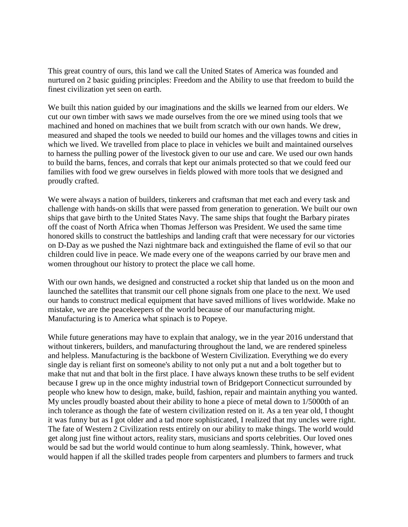This great country of ours, this land we call the United States of America was founded and nurtured on 2 basic guiding principles: Freedom and the Ability to use that freedom to build the finest civilization yet seen on earth.

We built this nation guided by our imaginations and the skills we learned from our elders. We cut our own timber with saws we made ourselves from the ore we mined using tools that we machined and honed on machines that we built from scratch with our own hands. We drew, measured and shaped the tools we needed to build our homes and the villages towns and cities in which we lived. We travelled from place to place in vehicles we built and maintained ourselves to harness the pulling power of the livestock given to our use and care. We used our own hands to build the barns, fences, and corrals that kept our animals protected so that we could feed our families with food we grew ourselves in fields plowed with more tools that we designed and proudly crafted.

We were always a nation of builders, tinkerers and craftsman that met each and every task and challenge with hands-on skills that were passed from generation to generation. We built our own ships that gave birth to the United States Navy. The same ships that fought the Barbary pirates off the coast of North Africa when Thomas Jefferson was President. We used the same time honored skills to construct the battleships and landing craft that were necessary for our victories on D-Day as we pushed the Nazi nightmare back and extinguished the flame of evil so that our children could live in peace. We made every one of the weapons carried by our brave men and women throughout our history to protect the place we call home.

With our own hands, we designed and constructed a rocket ship that landed us on the moon and launched the satellites that transmit our cell phone signals from one place to the next. We used our hands to construct medical equipment that have saved millions of lives worldwide. Make no mistake, we are the peacekeepers of the world because of our manufacturing might. Manufacturing is to America what spinach is to Popeye.

While future generations may have to explain that analogy, we in the year 2016 understand that without tinkerers, builders, and manufacturing throughout the land, we are rendered spineless and helpless. Manufacturing is the backbone of Western Civilization. Everything we do every single day is reliant first on someone's ability to not only put a nut and a bolt together but to make that nut and that bolt in the first place. I have always known these truths to be self evident because I grew up in the once mighty industrial town of Bridgeport Connecticut surrounded by people who knew how to design, make, build, fashion, repair and maintain anything you wanted. My uncles proudly boasted about their ability to hone a piece of metal down to 1/5000th of an inch tolerance as though the fate of western civilization rested on it. As a ten year old, I thought it was funny but as I got older and a tad more sophisticated, I realized that my uncles were right. The fate of Western 2 Civilization rests entirely on our ability to make things. The world would get along just fine without actors, reality stars, musicians and sports celebrities. Our loved ones would be sad but the world would continue to hum along seamlessly. Think, however, what would happen if all the skilled trades people from carpenters and plumbers to farmers and truck